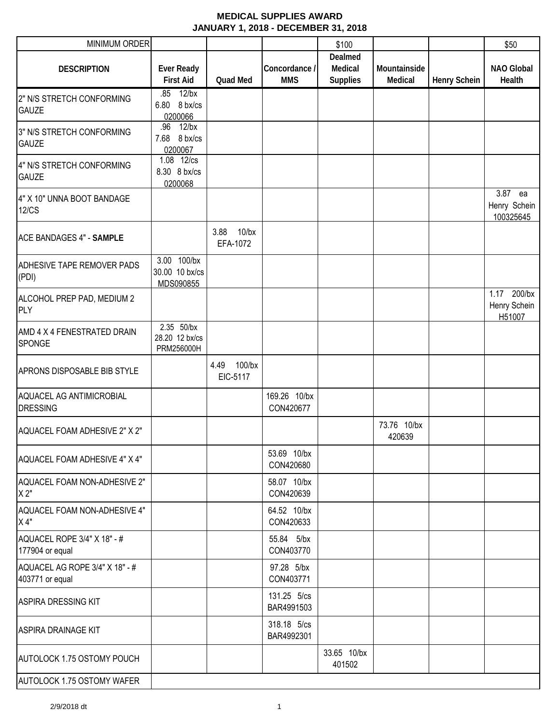| MINIMUM ORDER                                     |                                            |                               |                             | \$100                                 |                         |                     | \$50                                  |
|---------------------------------------------------|--------------------------------------------|-------------------------------|-----------------------------|---------------------------------------|-------------------------|---------------------|---------------------------------------|
| <b>DESCRIPTION</b>                                | <b>Ever Ready</b><br><b>First Aid</b>      | <b>Quad Med</b>               | Concordance /<br><b>MMS</b> | Dealmed<br>Medical<br><b>Supplies</b> | Mountainside<br>Medical | <b>Henry Schein</b> | <b>NAO Global</b><br>Health           |
| 2" N/S STRETCH CONFORMING<br><b>GAUZE</b>         | $12$ /bx<br>.85<br>6.80 8 bx/cs<br>0200066 |                               |                             |                                       |                         |                     |                                       |
| 3" N/S STRETCH CONFORMING<br><b>GAUZE</b>         | .96 12/bx<br>7.68 8 bx/cs<br>0200067       |                               |                             |                                       |                         |                     |                                       |
| 4" N/S STRETCH CONFORMING<br><b>GAUZE</b>         | 1.08 12/cs<br>8.30 8 bx/cs<br>0200068      |                               |                             |                                       |                         |                     |                                       |
| 4" X 10" UNNA BOOT BANDAGE<br><b>12/CS</b>        |                                            |                               |                             |                                       |                         |                     | 3.87 ea<br>Henry Schein<br>100325645  |
| <b>ACE BANDAGES 4" - SAMPLE</b>                   |                                            | 3.88 10/bx<br>EFA-1072        |                             |                                       |                         |                     |                                       |
| <b>ADHESIVE TAPE REMOVER PADS</b><br>(PDI)        | 3.00 100/bx<br>30.00 10 bx/cs<br>MDS090855 |                               |                             |                                       |                         |                     |                                       |
| ALCOHOL PREP PAD, MEDIUM 2<br>PLY                 |                                            |                               |                             |                                       |                         |                     | 1.17 200/bx<br>Henry Schein<br>H51007 |
| AMD 4 X 4 FENESTRATED DRAIN<br><b>SPONGE</b>      | 2.35 50/bx<br>28.20 12 bx/cs<br>PRM256000H |                               |                             |                                       |                         |                     |                                       |
| <b>APRONS DISPOSABLE BIB STYLE</b>                |                                            | $100$ /bx<br>4.49<br>EIC-5117 |                             |                                       |                         |                     |                                       |
| AQUACEL AG ANTIMICROBIAL<br><b>DRESSING</b>       |                                            |                               | 169.26 10/bx<br>CON420677   |                                       |                         |                     |                                       |
| AQUACEL FOAM ADHESIVE 2" X 2"                     |                                            |                               |                             |                                       | 73.76 10/bx<br>420639   |                     |                                       |
| AQUACEL FOAM ADHESIVE 4" X 4"                     |                                            |                               | 53.69 10/bx<br>CON420680    |                                       |                         |                     |                                       |
| AQUACEL FOAM NON-ADHESIVE 2"<br>X 2"              |                                            |                               | 58.07 10/bx<br>CON420639    |                                       |                         |                     |                                       |
| AQUACEL FOAM NON-ADHESIVE 4"<br>X 4"              |                                            |                               | 64.52 10/bx<br>CON420633    |                                       |                         |                     |                                       |
| AQUACEL ROPE 3/4" X 18" - #<br>177904 or equal    |                                            |                               | 55.84 5/bx<br>CON403770     |                                       |                         |                     |                                       |
| AQUACEL AG ROPE 3/4" X 18" - #<br>403771 or equal |                                            |                               | 97.28 5/bx<br>CON403771     |                                       |                         |                     |                                       |
| <b>ASPIRA DRESSING KIT</b>                        |                                            |                               | 131.25 5/cs<br>BAR4991503   |                                       |                         |                     |                                       |
| <b>ASPIRA DRAINAGE KIT</b>                        |                                            |                               | 318.18 5/cs<br>BAR4992301   |                                       |                         |                     |                                       |
| <b>AUTOLOCK 1.75 OSTOMY POUCH</b>                 |                                            |                               |                             | 33.65 10/bx<br>401502                 |                         |                     |                                       |
| AUTOLOCK 1.75 OSTOMY WAFER                        |                                            |                               |                             |                                       |                         |                     |                                       |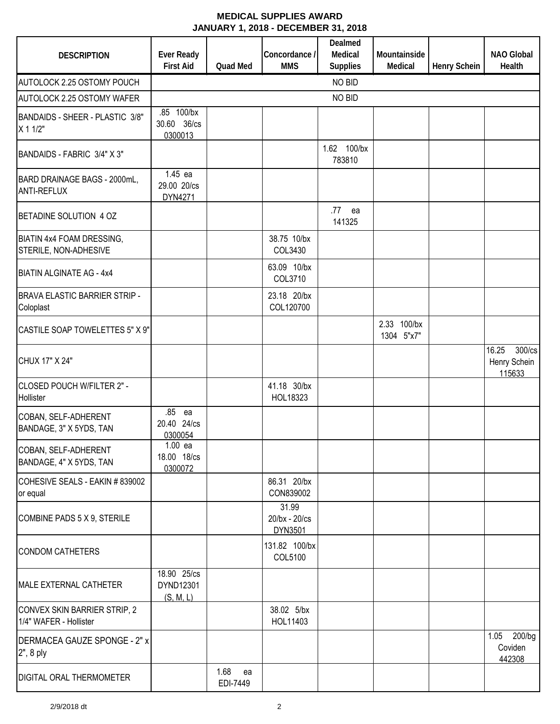| <b>DESCRIPTION</b>                                     | Ever Ready<br><b>First Aid</b>        | Quad Med               | Concordance /<br><b>MMS</b>       | Dealmed<br>Medical<br><b>Supplies</b> | Mountainside<br>Medical   | <b>Henry Schein</b> | <b>NAO Global</b><br><b>Health</b>        |
|--------------------------------------------------------|---------------------------------------|------------------------|-----------------------------------|---------------------------------------|---------------------------|---------------------|-------------------------------------------|
| AUTOLOCK 2.25 OSTOMY POUCH                             |                                       |                        |                                   | NO BID                                |                           |                     |                                           |
| AUTOLOCK 2.25 OSTOMY WAFER                             |                                       |                        |                                   | NO BID                                |                           |                     |                                           |
| BANDAIDS - SHEER - PLASTIC 3/8"<br>X 1 1/2"            | .85 100/bx<br>30.60 36/cs<br>0300013  |                        |                                   |                                       |                           |                     |                                           |
| BANDAIDS - FABRIC 3/4" X 3"                            |                                       |                        |                                   | 1.62 100/bx<br>783810                 |                           |                     |                                           |
| BARD DRAINAGE BAGS - 2000mL,<br><b>ANTI-REFLUX</b>     | 1.45 ea<br>29.00 20/cs<br>DYN4271     |                        |                                   |                                       |                           |                     |                                           |
| BETADINE SOLUTION 4 OZ                                 |                                       |                        |                                   | .77<br>ea<br>141325                   |                           |                     |                                           |
| BIATIN 4x4 FOAM DRESSING,<br>STERILE, NON-ADHESIVE     |                                       |                        | 38.75 10/bx<br>COL3430            |                                       |                           |                     |                                           |
| <b>BIATIN ALGINATE AG - 4x4</b>                        |                                       |                        | 63.09 10/bx<br>COL3710            |                                       |                           |                     |                                           |
| <b>BRAVA ELASTIC BARRIER STRIP -</b><br>Coloplast      |                                       |                        | 23.18 20/bx<br>COL120700          |                                       |                           |                     |                                           |
| CASTILE SOAP TOWELETTES 5" X 9"                        |                                       |                        |                                   |                                       | 2.33 100/bx<br>1304 5"x7" |                     |                                           |
| CHUX 17" X 24"                                         |                                       |                        |                                   |                                       |                           |                     | 16.25<br>300/cs<br>Henry Schein<br>115633 |
| CLOSED POUCH W/FILTER 2" -<br>Hollister                |                                       |                        | 41.18 30/bx<br>HOL18323           |                                       |                           |                     |                                           |
| COBAN, SELF-ADHERENT<br>BANDAGE, 3" X 5YDS, TAN        | .85<br>ea<br>20.40 24/cs<br>0300054   |                        |                                   |                                       |                           |                     |                                           |
| COBAN, SELF-ADHERENT<br>BANDAGE, 4" X 5YDS, TAN        | $1.00$ ea<br>18.00 18/cs<br>0300072   |                        |                                   |                                       |                           |                     |                                           |
| COHESIVE SEALS - EAKIN # 839002<br>or equal            |                                       |                        | 86.31 20/bx<br>CON839002          |                                       |                           |                     |                                           |
| COMBINE PADS 5 X 9, STERILE                            |                                       |                        | 31.99<br>20/bx - 20/cs<br>DYN3501 |                                       |                           |                     |                                           |
| <b>CONDOM CATHETERS</b>                                |                                       |                        | 131.82 100/bx<br>COL5100          |                                       |                           |                     |                                           |
| <b>MALE EXTERNAL CATHETER</b>                          | 18.90 25/cs<br>DYND12301<br>(S, M, L) |                        |                                   |                                       |                           |                     |                                           |
| CONVEX SKIN BARRIER STRIP, 2<br>1/4" WAFER - Hollister |                                       |                        | 38.02 5/bx<br>HOL11403            |                                       |                           |                     |                                           |
| DERMACEA GAUZE SPONGE - 2" x<br>2", 8 ply              |                                       |                        |                                   |                                       |                           |                     | 200/bg<br>1.05<br>Coviden<br>442308       |
| <b>DIGITAL ORAL THERMOMETER</b>                        |                                       | 1.68<br>ea<br>EDI-7449 |                                   |                                       |                           |                     |                                           |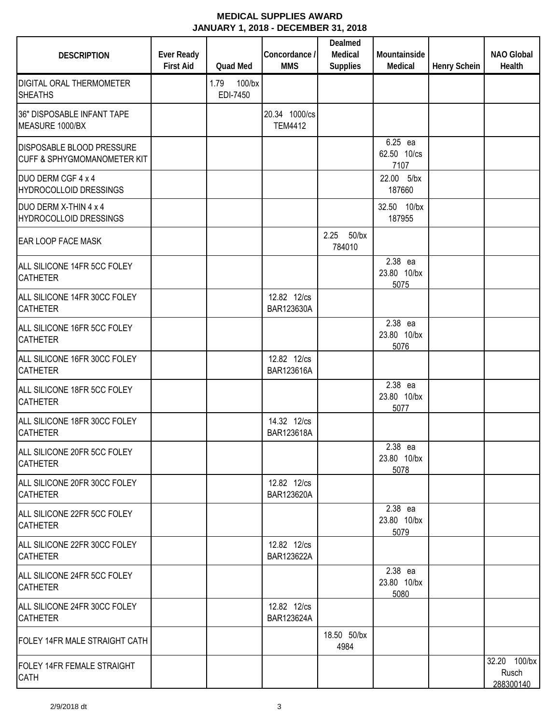| <b>DESCRIPTION</b>                                                         | Ever Ready<br><b>First Aid</b> | Quad Med                      | Concordance /<br><b>MMS</b>     | Dealmed<br>Medical<br><b>Supplies</b> | Mountainside<br>Medical        | Henry Schein | <b>NAO Global</b><br>Health        |
|----------------------------------------------------------------------------|--------------------------------|-------------------------------|---------------------------------|---------------------------------------|--------------------------------|--------------|------------------------------------|
| <b>DIGITAL ORAL THERMOMETER</b><br><b>SHEATHS</b>                          |                                | $100$ /bx<br>1.79<br>EDI-7450 |                                 |                                       |                                |              |                                    |
| 36" DISPOSABLE INFANT TAPE<br>MEASURE 1000/BX                              |                                |                               | 20.34 1000/cs<br><b>TEM4412</b> |                                       |                                |              |                                    |
| <b>DISPOSABLE BLOOD PRESSURE</b><br><b>CUFF &amp; SPHYGMOMANOMETER KIT</b> |                                |                               |                                 |                                       | 6.25 ea<br>62.50 10/cs<br>7107 |              |                                    |
| DUO DERM CGF 4 x 4<br><b>HYDROCOLLOID DRESSINGS</b>                        |                                |                               |                                 |                                       | 22.00 5/bx<br>187660           |              |                                    |
| DUO DERM X-THIN 4 x 4<br>HYDROCOLLOID DRESSINGS                            |                                |                               |                                 |                                       | 32.50 10/bx<br>187955          |              |                                    |
| <b>EAR LOOP FACE MASK</b>                                                  |                                |                               |                                 | 2.25 50/bx<br>784010                  |                                |              |                                    |
| ALL SILICONE 14FR 5CC FOLEY<br><b>CATHETER</b>                             |                                |                               |                                 |                                       | 2.38 ea<br>23.80 10/bx<br>5075 |              |                                    |
| ALL SILICONE 14FR 30CC FOLEY<br><b>CATHETER</b>                            |                                |                               | 12.82 12/cs<br>BAR123630A       |                                       |                                |              |                                    |
| ALL SILICONE 16FR 5CC FOLEY<br><b>CATHETER</b>                             |                                |                               |                                 |                                       | 2.38 ea<br>23.80 10/bx<br>5076 |              |                                    |
| ALL SILICONE 16FR 30CC FOLEY<br><b>CATHETER</b>                            |                                |                               | 12.82 12/cs<br>BAR123616A       |                                       |                                |              |                                    |
| ALL SILICONE 18FR 5CC FOLEY<br><b>CATHETER</b>                             |                                |                               |                                 |                                       | 2.38 ea<br>23.80 10/bx<br>5077 |              |                                    |
| ALL SILICONE 18FR 30CC FOLEY<br><b>CATHETER</b>                            |                                |                               | 14.32 12/cs<br>BAR123618A       |                                       |                                |              |                                    |
| ALL SILICONE 20FR 5CC FOLEY<br><b>CATHETER</b>                             |                                |                               |                                 |                                       | 2.38 ea<br>23.80 10/bx<br>5078 |              |                                    |
| ALL SILICONE 20FR 30CC FOLEY<br><b>CATHETER</b>                            |                                |                               | 12.82 12/cs<br>BAR123620A       |                                       |                                |              |                                    |
| ALL SILICONE 22FR 5CC FOLEY<br><b>CATHETER</b>                             |                                |                               |                                 |                                       | 2.38 ea<br>23.80 10/bx<br>5079 |              |                                    |
| ALL SILICONE 22FR 30CC FOLEY<br><b>CATHETER</b>                            |                                |                               | 12.82 12/cs<br>BAR123622A       |                                       |                                |              |                                    |
| ALL SILICONE 24FR 5CC FOLEY<br><b>CATHETER</b>                             |                                |                               |                                 |                                       | 2.38 ea<br>23.80 10/bx<br>5080 |              |                                    |
| ALL SILICONE 24FR 30CC FOLEY<br><b>CATHETER</b>                            |                                |                               | 12.82 12/cs<br>BAR123624A       |                                       |                                |              |                                    |
| FOLEY 14FR MALE STRAIGHT CATH                                              |                                |                               |                                 | 18.50 50/bx<br>4984                   |                                |              |                                    |
| <b>FOLEY 14FR FEMALE STRAIGHT</b><br><b>CATH</b>                           |                                |                               |                                 |                                       |                                |              | 32.20 100/bx<br>Rusch<br>288300140 |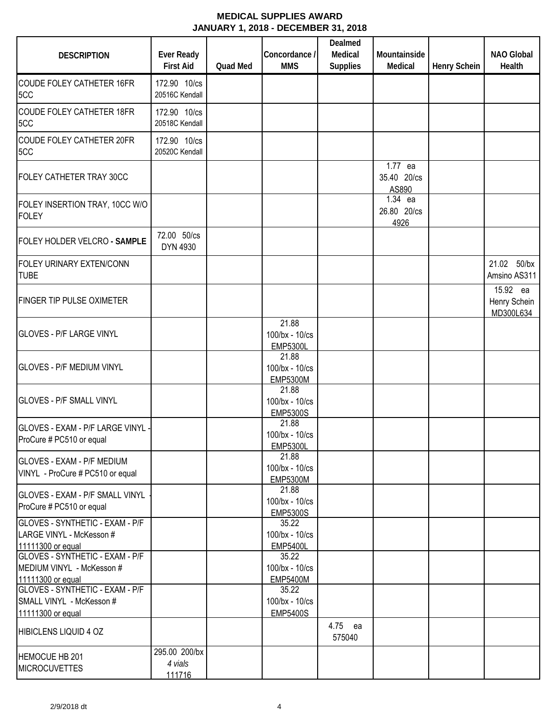| <b>DESCRIPTION</b>                                                                | <b>Ever Ready</b><br><b>First Aid</b> | Quad Med | Concordance /<br><b>MMS</b>                | Dealmed<br>Medical<br><b>Supplies</b> | Mountainside<br>Medical         | <b>Henry Schein</b> | NAO Global<br>Health                  |
|-----------------------------------------------------------------------------------|---------------------------------------|----------|--------------------------------------------|---------------------------------------|---------------------------------|---------------------|---------------------------------------|
| <b>COUDE FOLEY CATHETER 16FR</b><br>5CC                                           | 172.90 10/cs<br>20516C Kendall        |          |                                            |                                       |                                 |                     |                                       |
| <b>COUDE FOLEY CATHETER 18FR</b><br>5CC                                           | 172.90 10/cs<br>20518C Kendall        |          |                                            |                                       |                                 |                     |                                       |
| COUDE FOLEY CATHETER 20FR<br>5CC                                                  | 172.90 10/cs<br>20520C Kendall        |          |                                            |                                       |                                 |                     |                                       |
| FOLEY CATHETER TRAY 30CC                                                          |                                       |          |                                            |                                       | 1.77 ea<br>35.40 20/cs<br>AS890 |                     |                                       |
| FOLEY INSERTION TRAY, 10CC W/O<br><b>FOLEY</b>                                    |                                       |          |                                            |                                       | 1.34 ea<br>26.80 20/cs<br>4926  |                     |                                       |
| FOLEY HOLDER VELCRO - SAMPLE                                                      | 72.00 50/cs<br>DYN 4930               |          |                                            |                                       |                                 |                     |                                       |
| FOLEY URINARY EXTEN/CONN<br><b>TUBE</b>                                           |                                       |          |                                            |                                       |                                 |                     | 21.02 50/bx<br>Amsino AS311           |
| <b>FINGER TIP PULSE OXIMETER</b>                                                  |                                       |          |                                            |                                       |                                 |                     | 15.92 ea<br>Henry Schein<br>MD300L634 |
| <b>GLOVES - P/F LARGE VINYL</b>                                                   |                                       |          | 21.88<br>100/bx - 10/cs<br><b>EMP5300L</b> |                                       |                                 |                     |                                       |
| <b>GLOVES - P/F MEDIUM VINYL</b>                                                  |                                       |          | 21.88<br>100/bx - 10/cs<br><b>EMP5300M</b> |                                       |                                 |                     |                                       |
| <b>GLOVES - P/F SMALL VINYL</b>                                                   |                                       |          | 21.88<br>100/bx - 10/cs<br><b>EMP5300S</b> |                                       |                                 |                     |                                       |
| GLOVES - EXAM - P/F LARGE VINYL<br>ProCure # PC510 or equal                       |                                       |          | 21.88<br>100/bx - 10/cs<br><b>EMP5300L</b> |                                       |                                 |                     |                                       |
| <b>GLOVES - EXAM - P/F MEDIUM</b><br>VINYL - ProCure # PC510 or equal             |                                       |          | 21.88<br>100/bx - 10/cs<br><b>EMP5300M</b> |                                       |                                 |                     |                                       |
| GLOVES - EXAM - P/F SMALL VINYL<br>ProCure # PC510 or equal                       |                                       |          | 21.88<br>100/bx - 10/cs<br><b>EMP5300S</b> |                                       |                                 |                     |                                       |
| GLOVES - SYNTHETIC - EXAM - P/F<br>LARGE VINYL - McKesson #<br>11111300 or equal  |                                       |          | 35.22<br>100/bx - 10/cs<br><b>EMP5400L</b> |                                       |                                 |                     |                                       |
| GLOVES - SYNTHETIC - EXAM - P/F<br>MEDIUM VINYL - McKesson #<br>11111300 or equal |                                       |          | 35.22<br>100/bx - 10/cs<br><b>EMP5400M</b> |                                       |                                 |                     |                                       |
| GLOVES - SYNTHETIC - EXAM - P/F<br>SMALL VINYL - McKesson #<br>11111300 or equal  |                                       |          | 35.22<br>100/bx - 10/cs<br><b>EMP5400S</b> |                                       |                                 |                     |                                       |
| <b>HIBICLENS LIQUID 4 OZ</b>                                                      |                                       |          |                                            | 4.75 ea<br>575040                     |                                 |                     |                                       |
| HEMOCUE HB 201<br><b>MICROCUVETTES</b>                                            | 295.00 200/bx<br>4 vials<br>111716    |          |                                            |                                       |                                 |                     |                                       |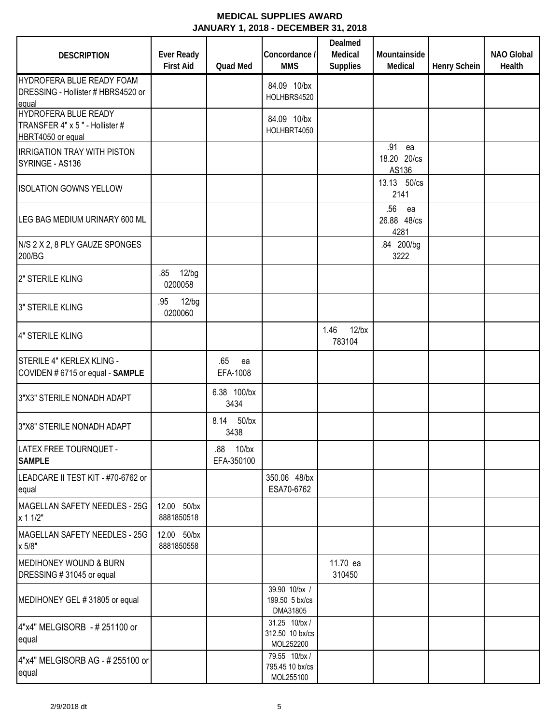| <b>DESCRIPTION</b>                                                          | <b>Ever Ready</b><br><b>First Aid</b> | Quad Med                | Concordance /<br><b>MMS</b>                  | Dealmed<br>Medical<br><b>Supplies</b> | Mountainside<br>Medical          | <b>Henry Schein</b> | <b>NAO Global</b><br>Health |
|-----------------------------------------------------------------------------|---------------------------------------|-------------------------|----------------------------------------------|---------------------------------------|----------------------------------|---------------------|-----------------------------|
| HYDROFERA BLUE READY FOAM<br>DRESSING - Hollister # HBRS4520 or<br>equal    |                                       |                         | 84.09 10/bx<br>HOLHBRS4520                   |                                       |                                  |                     |                             |
| HYDROFERA BLUE READY<br>TRANSFER 4" x 5" - Hollister #<br>HBRT4050 or equal |                                       |                         | 84.09 10/bx<br>HOLHBRT4050                   |                                       |                                  |                     |                             |
| <b>IRRIGATION TRAY WITH PISTON</b><br>SYRINGE - AS136                       |                                       |                         |                                              |                                       | .91 ea<br>18.20 20/cs<br>AS136   |                     |                             |
| <b>ISOLATION GOWNS YELLOW</b>                                               |                                       |                         |                                              |                                       | 13.13 50/cs<br>2141              |                     |                             |
| LEG BAG MEDIUM URINARY 600 ML                                               |                                       |                         |                                              |                                       | .56<br>ea<br>26.88 48/cs<br>4281 |                     |                             |
| N/S 2 X 2, 8 PLY GAUZE SPONGES<br>200/BG                                    |                                       |                         |                                              |                                       | .84 200/bg<br>3222               |                     |                             |
| 2" STERILE KLING                                                            | .85 12/bg<br>0200058                  |                         |                                              |                                       |                                  |                     |                             |
| 3" STERILE KLING                                                            | 12/bg<br>.95<br>0200060               |                         |                                              |                                       |                                  |                     |                             |
| 4" STERILE KLING                                                            |                                       |                         |                                              | $12$ /bx<br>1.46<br>783104            |                                  |                     |                             |
| STERILE 4" KERLEX KLING -<br>COVIDEN # 6715 or equal - SAMPLE               |                                       | .65<br>ea<br>EFA-1008   |                                              |                                       |                                  |                     |                             |
| 3"X3" STERILE NONADH ADAPT                                                  |                                       | 6.38 100/bx<br>3434     |                                              |                                       |                                  |                     |                             |
| 3"X8" STERILE NONADH ADAPT                                                  |                                       | 8.14 50/bx<br>3438      |                                              |                                       |                                  |                     |                             |
| LATEX FREE TOURNQUET -<br><b>SAMPLE</b>                                     |                                       | .88 10/bx<br>EFA-350100 |                                              |                                       |                                  |                     |                             |
| LEADCARE II TEST KIT - #70-6762 or<br>equal                                 |                                       |                         | 350.06 48/bx<br>ESA70-6762                   |                                       |                                  |                     |                             |
| MAGELLAN SAFETY NEEDLES - 25G<br>x 1 1/2"                                   | 12.00 50/bx<br>8881850518             |                         |                                              |                                       |                                  |                     |                             |
| MAGELLAN SAFETY NEEDLES - 25G<br>x 5/8"                                     | 12.00 50/bx<br>8881850558             |                         |                                              |                                       |                                  |                     |                             |
| <b>MEDIHONEY WOUND &amp; BURN</b><br>DRESSING #31045 or equal               |                                       |                         |                                              | 11.70 ea<br>310450                    |                                  |                     |                             |
| MEDIHONEY GEL #31805 or equal                                               |                                       |                         | 39.90 10/bx /<br>199.50 5 bx/cs<br>DMA31805  |                                       |                                  |                     |                             |
| 4"x4" MELGISORB - # 251100 or<br>equal                                      |                                       |                         | 31.25 10/bx/<br>312.50 10 bx/cs<br>MOL252200 |                                       |                                  |                     |                             |
| 4"x4" MELGISORB AG - # 255100 or<br>equal                                   |                                       |                         | 79.55 10/bx/<br>795.45 10 bx/cs<br>MOL255100 |                                       |                                  |                     |                             |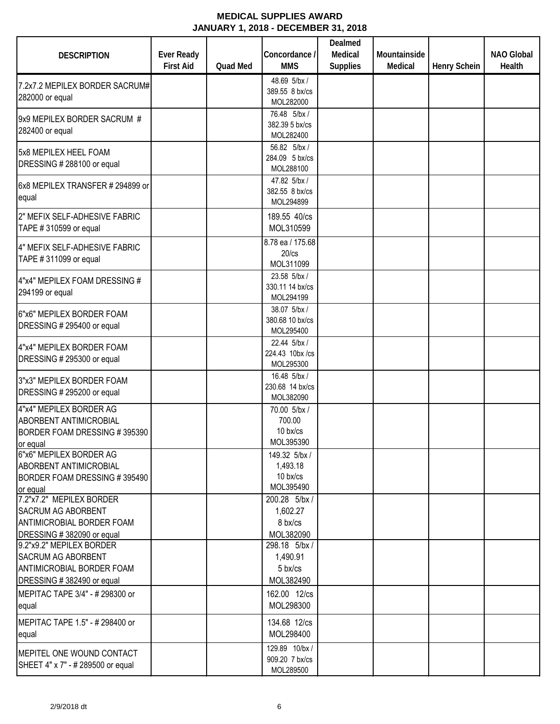| <b>DESCRIPTION</b>                                                                                              | <b>Ever Ready</b> |                 | Concordance /                                                          | Dealmed<br>Medical | Mountainside |                     | <b>NAO Global</b> |
|-----------------------------------------------------------------------------------------------------------------|-------------------|-----------------|------------------------------------------------------------------------|--------------------|--------------|---------------------|-------------------|
|                                                                                                                 | <b>First Aid</b>  | <b>Quad Med</b> | <b>MMS</b>                                                             | <b>Supplies</b>    | Medical      | <b>Henry Schein</b> | Health            |
| 7.2x7.2 MEPILEX BORDER SACRUM#<br>282000 or equal                                                               |                   |                 | 48.69 5/bx/<br>389.55 8 bx/cs<br>MOL282000                             |                    |              |                     |                   |
| 9x9 MEPILEX BORDER SACRUM #<br>282400 or equal                                                                  |                   |                 | 76.48 5/bx/<br>382.39 5 bx/cs<br>MOL282400                             |                    |              |                     |                   |
| 5x8 MEPILEX HEEL FOAM<br>DRESSING #288100 or equal                                                              |                   |                 | 56.82 5/bx/<br>284.09 5 bx/cs<br>MOL288100                             |                    |              |                     |                   |
| 6x8 MEPILEX TRANSFER # 294899 or<br>equal                                                                       |                   |                 | 47.82 5/bx/<br>382.55 8 bx/cs<br>MOL294899                             |                    |              |                     |                   |
| 2" MEFIX SELF-ADHESIVE FABRIC<br>TAPE #310599 or equal                                                          |                   |                 | 189.55 40/cs<br>MOL310599                                              |                    |              |                     |                   |
| 4" MEFIX SELF-ADHESIVE FABRIC<br>TAPE #311099 or equal<br>4"x4" MEPILEX FOAM DRESSING #                         |                   |                 | 8.78 ea / 175.68<br>$20$ / $cs$<br>MOL311099<br>23.58 5/bx/            |                    |              |                     |                   |
| 294199 or equal                                                                                                 |                   |                 | 330.11 14 bx/cs<br>MOL294199                                           |                    |              |                     |                   |
| 6"x6" MEPILEX BORDER FOAM<br>DRESSING # 295400 or equal                                                         |                   |                 | 38.07 5/bx/<br>380.68 10 bx/cs<br>MOL295400                            |                    |              |                     |                   |
| 4"x4" MEPILEX BORDER FOAM<br>DRESSING # 295300 or equal                                                         |                   |                 | 22.44 5/bx/<br>224.43 10bx /cs<br>MOL295300                            |                    |              |                     |                   |
| 3"x3" MEPILEX BORDER FOAM<br>DRESSING # 295200 or equal                                                         |                   |                 | 16.48 5/bx/<br>230.68 14 bx/cs<br>MOL382090                            |                    |              |                     |                   |
| 4"x4" MEPILEX BORDER AG<br><b>ABORBENT ANTIMICROBIAL</b><br>BORDER FOAM DRESSING #395390<br>or equal            |                   |                 | 70.00 5/bx /<br>700.00<br>$10 \frac{b}{x}$<br>MOL395390                |                    |              |                     |                   |
| 6"x6" MEPILEX BORDER AG<br><b>ABORBENT ANTIMICROBIAL</b><br>BORDER FOAM DRESSING #395490<br>or equal            |                   |                 | 149.32 5/bx/<br>1,493.18<br>$10 \text{ bx/cs}$<br>MOL395490            |                    |              |                     |                   |
| 7.2"x7.2" MEPILEX BORDER<br><b>SACRUM AG ABORBENT</b><br>ANTIMICROBIAL BORDER FOAM<br>DRESSING #382090 or equal |                   |                 | 200.28 5/bx/<br>1,602.27<br>8 bx/cs<br>MOL382090                       |                    |              |                     |                   |
| 9.2"x9.2" MEPILEX BORDER<br><b>SACRUM AG ABORBENT</b><br>ANTIMICROBIAL BORDER FOAM<br>DRESSING #382490 or equal |                   |                 | 298.18 5/bx/<br>1,490.91<br>$5 \frac{\text{b}}{\text{c}}$<br>MOL382490 |                    |              |                     |                   |
| MEPITAC TAPE 3/4" - # 298300 or<br>equal                                                                        |                   |                 | 162.00 12/cs<br>MOL298300                                              |                    |              |                     |                   |
| MEPITAC TAPE 1.5" - # 298400 or<br>equal                                                                        |                   |                 | 134.68 12/cs<br>MOL298400                                              |                    |              |                     |                   |
| MEPITEL ONE WOUND CONTACT<br>SHEET 4" x 7" - # 289500 or equal                                                  |                   |                 | 129.89 10/bx/<br>909.20 7 bx/cs<br>MOL289500                           |                    |              |                     |                   |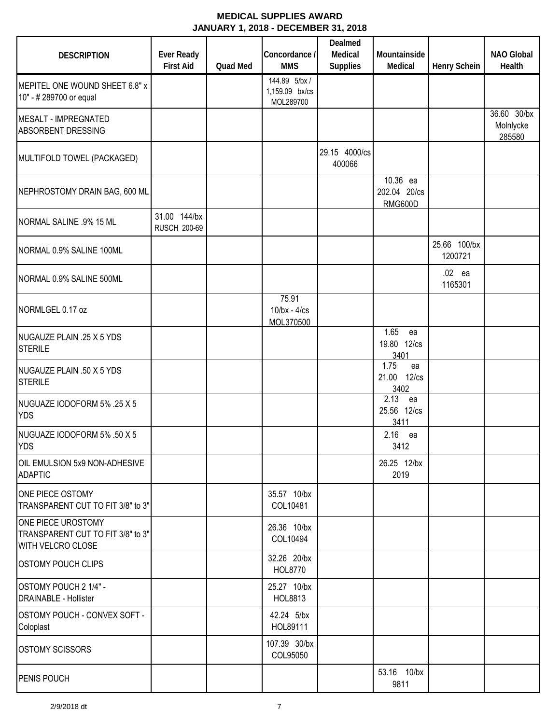| <b>DESCRIPTION</b>                                                                  | <b>Ever Ready</b><br><b>First Aid</b> | <b>Quad Med</b> | Concordance /<br><b>MMS</b>                 | Dealmed<br>Medical<br><b>Supplies</b> | Mountainside<br>Medical                    | <b>Henry Schein</b>     | <b>NAO Global</b><br>Health        |
|-------------------------------------------------------------------------------------|---------------------------------------|-----------------|---------------------------------------------|---------------------------------------|--------------------------------------------|-------------------------|------------------------------------|
| MEPITEL ONE WOUND SHEET 6.8" x<br>10" - # 289700 or equal                           |                                       |                 | 144.89 5/bx/<br>1,159.09 bx/cs<br>MOL289700 |                                       |                                            |                         |                                    |
| MESALT - IMPREGNATED<br><b>ABSORBENT DRESSING</b>                                   |                                       |                 |                                             |                                       |                                            |                         | 36.60 30/bx<br>Molnlycke<br>285580 |
| MULTIFOLD TOWEL (PACKAGED)                                                          |                                       |                 |                                             | 29.15 4000/cs<br>400066               |                                            |                         |                                    |
| NEPHROSTOMY DRAIN BAG, 600 ML                                                       |                                       |                 |                                             |                                       | 10.36 ea<br>202.04 20/cs<br><b>RMG600D</b> |                         |                                    |
| NORMAL SALINE .9% 15 ML                                                             | 31.00 144/bx<br><b>RUSCH 200-69</b>   |                 |                                             |                                       |                                            |                         |                                    |
| NORMAL 0.9% SALINE 100ML                                                            |                                       |                 |                                             |                                       |                                            | 25.66 100/bx<br>1200721 |                                    |
| NORMAL 0.9% SALINE 500ML                                                            |                                       |                 |                                             |                                       |                                            | .02 ea<br>1165301       |                                    |
| NORMLGEL 0.17 oz                                                                    |                                       |                 | 75.91<br>$10$ /bx - $4$ /cs<br>MOL370500    |                                       |                                            |                         |                                    |
| NUGAUZE PLAIN .25 X 5 YDS<br><b>STERILE</b>                                         |                                       |                 |                                             |                                       | 1.65<br>ea<br>19.80 12/cs<br>3401          |                         |                                    |
| NUGAUZE PLAIN .50 X 5 YDS<br><b>STERILE</b>                                         |                                       |                 |                                             |                                       | 1.75<br>ea<br>21.00 12/cs<br>3402          |                         |                                    |
| NUGUAZE IODOFORM 5% .25 X 5<br><b>YDS</b>                                           |                                       |                 |                                             |                                       | 2.13<br>ea<br>25.56 12/cs<br>3411          |                         |                                    |
| NUGUAZE IODOFORM 5% .50 X 5<br><b>YDS</b>                                           |                                       |                 |                                             |                                       | 2.16 ea<br>3412                            |                         |                                    |
| OIL EMULSION 5x9 NON-ADHESIVE<br><b>ADAPTIC</b>                                     |                                       |                 |                                             |                                       | 26.25 12/bx<br>2019                        |                         |                                    |
| ONE PIECE OSTOMY<br>TRANSPARENT CUT TO FIT 3/8" to 3"                               |                                       |                 | 35.57 10/bx<br>COL10481                     |                                       |                                            |                         |                                    |
| ONE PIECE UROSTOMY<br>TRANSPARENT CUT TO FIT 3/8" to 3"<br><b>WITH VELCRO CLOSE</b> |                                       |                 | 26.36 10/bx<br>COL10494                     |                                       |                                            |                         |                                    |
| <b>OSTOMY POUCH CLIPS</b>                                                           |                                       |                 | 32.26 20/bx<br>HOL8770                      |                                       |                                            |                         |                                    |
| OSTOMY POUCH 2 1/4" -<br><b>DRAINABLE - Hollister</b>                               |                                       |                 | 25.27 10/bx<br>HOL8813                      |                                       |                                            |                         |                                    |
| OSTOMY POUCH - CONVEX SOFT -<br>Coloplast                                           |                                       |                 | 42.24 5/bx<br>HOL89111                      |                                       |                                            |                         |                                    |
| <b>OSTOMY SCISSORS</b>                                                              |                                       |                 | 107.39 30/bx<br>COL95050                    |                                       |                                            |                         |                                    |
| PENIS POUCH                                                                         |                                       |                 |                                             |                                       | 53.16 10/bx<br>9811                        |                         |                                    |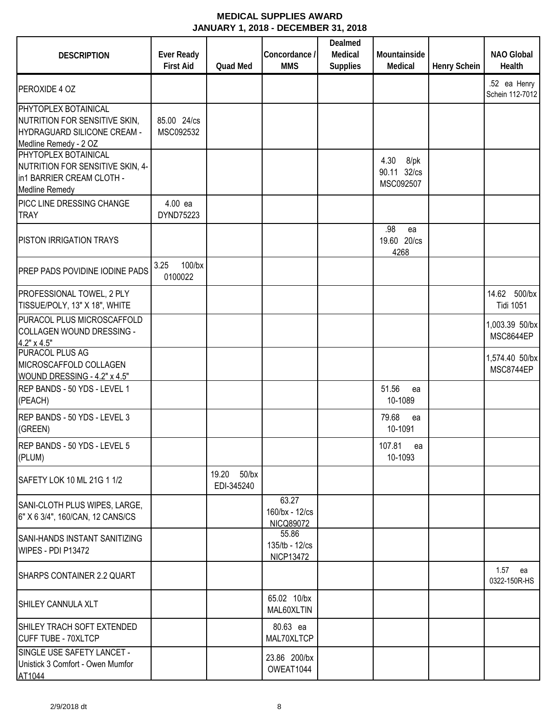| <b>DESCRIPTION</b>                                                                                                    | <b>Ever Ready</b><br><b>First Aid</b> | <b>Quad Med</b>                 | Concordance /<br><b>MMS</b>                 | Dealmed<br>Medical<br><b>Supplies</b> | Mountainside<br>Medical                  | <b>Henry Schein</b> | <b>NAO Global</b><br>Health         |
|-----------------------------------------------------------------------------------------------------------------------|---------------------------------------|---------------------------------|---------------------------------------------|---------------------------------------|------------------------------------------|---------------------|-------------------------------------|
| <b>PEROXIDE 4 OZ</b>                                                                                                  |                                       |                                 |                                             |                                       |                                          |                     | .52 ea Henry<br>Schein 112-7012     |
| PHYTOPLEX BOTAINICAL<br>NUTRITION FOR SENSITIVE SKIN,<br><b>HYDRAGUARD SILICONE CREAM -</b><br>Medline Remedy - 2 OZ  | 85.00 24/cs<br>MSC092532              |                                 |                                             |                                       |                                          |                     |                                     |
| <b>PHYTOPLEX BOTAINICAL</b><br>NUTRITION FOR SENSITIVE SKIN, 4-<br>in1 BARRIER CREAM CLOTH -<br><b>Medline Remedy</b> |                                       |                                 |                                             |                                       | 4.30<br>8/pk<br>90.11 32/cs<br>MSC092507 |                     |                                     |
| PICC LINE DRESSING CHANGE<br><b>TRAY</b>                                                                              | 4.00 ea<br>DYND75223                  |                                 |                                             |                                       |                                          |                     |                                     |
| <b>PISTON IRRIGATION TRAYS</b>                                                                                        |                                       |                                 |                                             |                                       | .98<br>ea<br>19.60 20/cs<br>4268         |                     |                                     |
| <b>PREP PADS POVIDINE IODINE PADS</b>                                                                                 | 100/bx<br>3.25<br>0100022             |                                 |                                             |                                       |                                          |                     |                                     |
| PROFESSIONAL TOWEL, 2 PLY<br>TISSUE/POLY, 13" X 18", WHITE                                                            |                                       |                                 |                                             |                                       |                                          |                     | 500/bx<br>14.62<br><b>Tidi 1051</b> |
| PURACOL PLUS MICROSCAFFOLD<br>COLLAGEN WOUND DRESSING -<br>$4.2" \times 4.5"$                                         |                                       |                                 |                                             |                                       |                                          |                     | 1,003.39 50/bx<br>MSC8644EP         |
| <b>PURACOL PLUS AG</b><br>MICROSCAFFOLD COLLAGEN<br>WOUND DRESSING - 4.2" x 4.5"                                      |                                       |                                 |                                             |                                       |                                          |                     | 1,574.40 50/bx<br>MSC8744EP         |
| REP BANDS - 50 YDS - LEVEL 1<br>(PEACH)                                                                               |                                       |                                 |                                             |                                       | 51.56<br>ea<br>10-1089                   |                     |                                     |
| REP BANDS - 50 YDS - LEVEL 3<br>(GREEN)                                                                               |                                       |                                 |                                             |                                       | 79.68<br>ea<br>10-1091                   |                     |                                     |
| REP BANDS - 50 YDS - LEVEL 5<br>(PLUM)                                                                                |                                       |                                 |                                             |                                       | 107.81<br>ea<br>10-1093                  |                     |                                     |
| SAFETY LOK 10 ML 21G 1 1/2                                                                                            |                                       | 19.20<br>$50$ /bx<br>EDI-345240 |                                             |                                       |                                          |                     |                                     |
| SANI-CLOTH PLUS WIPES, LARGE,<br>6" X 6 3/4", 160/CAN, 12 CANS/CS                                                     |                                       |                                 | 63.27<br>160/bx - 12/cs<br><b>NICQ89072</b> |                                       |                                          |                     |                                     |
| <b>SANI-HANDS INSTANT SANITIZING</b><br>WIPES - PDI P13472                                                            |                                       |                                 | 55.86<br>135/tb - 12/cs<br><b>NICP13472</b> |                                       |                                          |                     |                                     |
| SHARPS CONTAINER 2.2 QUART                                                                                            |                                       |                                 |                                             |                                       |                                          |                     | 1.57 ea<br>0322-150R-HS             |
| SHILEY CANNULA XLT                                                                                                    |                                       |                                 | 65.02 10/bx<br>MAL60XLTIN                   |                                       |                                          |                     |                                     |
| SHILEY TRACH SOFT EXTENDED<br><b>CUFF TUBE - 70XLTCP</b>                                                              |                                       |                                 | 80.63 ea<br>MAL70XLTCP                      |                                       |                                          |                     |                                     |
| SINGLE USE SAFETY LANCET -<br>Unistick 3 Comfort - Owen Mumfor<br>AT1044                                              |                                       |                                 | 23.86 200/bx<br>OWEAT1044                   |                                       |                                          |                     |                                     |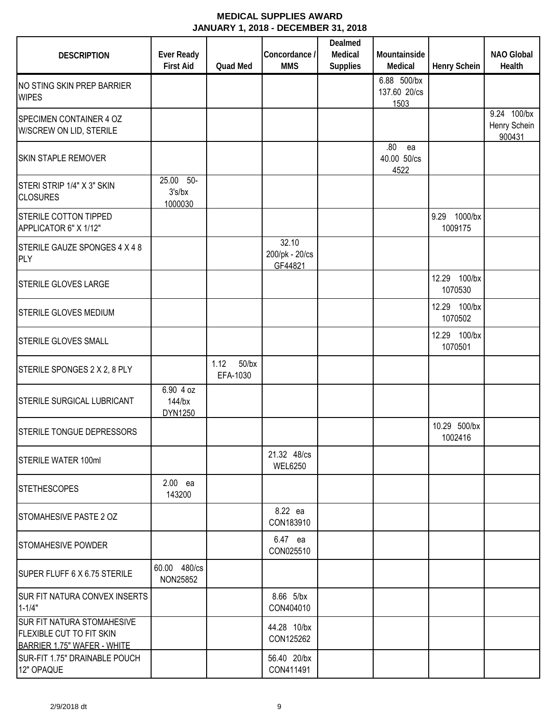| <b>DESCRIPTION</b>                                                                                  | <b>Ever Ready</b><br><b>First Aid</b> | <b>Quad Med</b>              | Concordance /<br><b>MMS</b>        | Dealmed<br>Medical<br><b>Supplies</b> | Mountainside<br>Medical             | <b>Henry Schein</b>        | <b>NAO Global</b><br>Health           |
|-----------------------------------------------------------------------------------------------------|---------------------------------------|------------------------------|------------------------------------|---------------------------------------|-------------------------------------|----------------------------|---------------------------------------|
| NO STING SKIN PREP BARRIER<br><b>WIPES</b>                                                          |                                       |                              |                                    |                                       | 6.88 500/bx<br>137.60 20/cs<br>1503 |                            |                                       |
| SPECIMEN CONTAINER 4 OZ<br>W/SCREW ON LID, STERILE                                                  |                                       |                              |                                    |                                       |                                     |                            | 9.24 100/bx<br>Henry Schein<br>900431 |
| <b>SKIN STAPLE REMOVER</b>                                                                          |                                       |                              |                                    |                                       | .80<br>ea<br>40.00 50/cs<br>4522    |                            |                                       |
| STERI STRIP 1/4" X 3" SKIN<br><b>CLOSURES</b>                                                       | 25.00 50-<br>3's/bx<br>1000030        |                              |                                    |                                       |                                     |                            |                                       |
| <b>STERILE COTTON TIPPED</b><br>APPLICATOR 6" X 1/12"                                               |                                       |                              |                                    |                                       |                                     | 9.29<br>1000/bx<br>1009175 |                                       |
| STERILE GAUZE SPONGES 4 X 4 8<br><b>PLY</b>                                                         |                                       |                              | 32.10<br>200/pk - 20/cs<br>GF44821 |                                       |                                     |                            |                                       |
| <b>STERILE GLOVES LARGE</b>                                                                         |                                       |                              |                                    |                                       |                                     | 12.29 100/bx<br>1070530    |                                       |
| <b>STERILE GLOVES MEDIUM</b>                                                                        |                                       |                              |                                    |                                       |                                     | 12.29 100/bx<br>1070502    |                                       |
| <b>STERILE GLOVES SMALL</b>                                                                         |                                       |                              |                                    |                                       |                                     | 12.29 100/bx<br>1070501    |                                       |
| STERILE SPONGES 2 X 2, 8 PLY                                                                        |                                       | 1.12<br>$50$ /bx<br>EFA-1030 |                                    |                                       |                                     |                            |                                       |
| STERILE SURGICAL LUBRICANT                                                                          | 6.90 4 oz<br>144/bx<br>DYN1250        |                              |                                    |                                       |                                     |                            |                                       |
| STERILE TONGUE DEPRESSORS                                                                           |                                       |                              |                                    |                                       |                                     | 10.29 500/bx<br>1002416    |                                       |
| <b>STERILE WATER 100ml</b>                                                                          |                                       |                              | 21.32 48/cs<br><b>WEL6250</b>      |                                       |                                     |                            |                                       |
| <b>STETHESCOPES</b>                                                                                 | 2.00 ea<br>143200                     |                              |                                    |                                       |                                     |                            |                                       |
| STOMAHESIVE PASTE 2 OZ                                                                              |                                       |                              | 8.22 ea<br>CON183910               |                                       |                                     |                            |                                       |
| <b>STOMAHESIVE POWDER</b>                                                                           |                                       |                              | 6.47 ea<br>CON025510               |                                       |                                     |                            |                                       |
| SUPER FLUFF 6 X 6.75 STERILE                                                                        | 60.00 480/cs<br>NON25852              |                              |                                    |                                       |                                     |                            |                                       |
| <b>SUR FIT NATURA CONVEX INSERTS</b><br>$1 - 1/4"$                                                  |                                       |                              | 8.66 5/bx<br>CON404010             |                                       |                                     |                            |                                       |
| <b>SUR FIT NATURA STOMAHESIVE</b><br><b>FLEXIBLE CUT TO FIT SKIN</b><br>BARRIER 1.75" WAFER - WHITE |                                       |                              | 44.28 10/bx<br>CON125262           |                                       |                                     |                            |                                       |
| SUR-FIT 1.75" DRAINABLE POUCH<br>12" OPAQUE                                                         |                                       |                              | 56.40 20/bx<br>CON411491           |                                       |                                     |                            |                                       |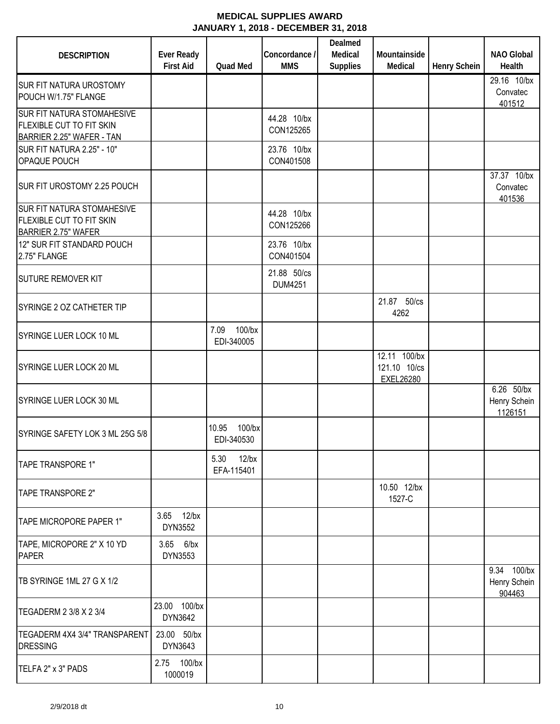| <b>DESCRIPTION</b>                                                                          | <b>Ever Ready</b><br><b>First Aid</b> | Quad Med                         | Concordance /<br><b>MMS</b>   | Dealmed<br>Medical<br><b>Supplies</b> | Mountainside<br>Medical                          | Henry Schein | <b>NAO Global</b><br>Health           |
|---------------------------------------------------------------------------------------------|---------------------------------------|----------------------------------|-------------------------------|---------------------------------------|--------------------------------------------------|--------------|---------------------------------------|
| SUR FIT NATURA UROSTOMY<br>POUCH W/1.75" FLANGE                                             |                                       |                                  |                               |                                       |                                                  |              | 29.16 10/bx<br>Convatec<br>401512     |
| <b>SUR FIT NATURA STOMAHESIVE</b><br>FLEXIBLE CUT TO FIT SKIN<br>BARRIER 2.25" WAFER - TAN  |                                       |                                  | 44.28 10/bx<br>CON125265      |                                       |                                                  |              |                                       |
| SUR FIT NATURA 2.25" - 10"<br>OPAQUE POUCH                                                  |                                       |                                  | 23.76 10/bx<br>CON401508      |                                       |                                                  |              |                                       |
| SUR FIT UROSTOMY 2.25 POUCH                                                                 |                                       |                                  |                               |                                       |                                                  |              | 37.37 10/bx<br>Convatec<br>401536     |
| <b>SUR FIT NATURA STOMAHESIVE</b><br>FLEXIBLE CUT TO FIT SKIN<br><b>BARRIER 2.75" WAFER</b> |                                       |                                  | 44.28 10/bx<br>CON125266      |                                       |                                                  |              |                                       |
| 12" SUR FIT STANDARD POUCH<br>2.75" FLANGE                                                  |                                       |                                  | 23.76 10/bx<br>CON401504      |                                       |                                                  |              |                                       |
| <b>SUTURE REMOVER KIT</b>                                                                   |                                       |                                  | 21.88 50/cs<br><b>DUM4251</b> |                                       |                                                  |              |                                       |
| SYRINGE 2 OZ CATHETER TIP                                                                   |                                       |                                  |                               |                                       | 21.87 50/cs<br>4262                              |              |                                       |
| SYRINGE LUER LOCK 10 ML                                                                     |                                       | 100/bx<br>7.09<br>EDI-340005     |                               |                                       |                                                  |              |                                       |
| SYRINGE LUER LOCK 20 ML                                                                     |                                       |                                  |                               |                                       | 12.11 100/bx<br>121.10 10/cs<br><b>EXEL26280</b> |              |                                       |
| SYRINGE LUER LOCK 30 ML                                                                     |                                       |                                  |                               |                                       |                                                  |              | 6.26 50/bx<br>Henry Schein<br>1126151 |
| SYRINGE SAFETY LOK 3 ML 25G 5/8                                                             |                                       | $100$ /bx<br>10.95<br>EDI-340530 |                               |                                       |                                                  |              |                                       |
| TAPE TRANSPORE 1"                                                                           |                                       | 5.30 12/bx<br>EFA-115401         |                               |                                       |                                                  |              |                                       |
| TAPE TRANSPORE 2"                                                                           |                                       |                                  |                               |                                       | 10.50 12/bx<br>1527-C                            |              |                                       |
| TAPE MICROPORE PAPER 1"                                                                     | 3.65 12/bx<br>DYN3552                 |                                  |                               |                                       |                                                  |              |                                       |
| TAPE, MICROPORE 2" X 10 YD<br><b>PAPER</b>                                                  | 3.65 6/bx<br>DYN3553                  |                                  |                               |                                       |                                                  |              |                                       |
| TB SYRINGE 1ML 27 G X 1/2                                                                   |                                       |                                  |                               |                                       |                                                  |              | 9.34 100/bx<br>Henry Schein<br>904463 |
| TEGADERM 2 3/8 X 2 3/4                                                                      | 23.00 100/bx<br>DYN3642               |                                  |                               |                                       |                                                  |              |                                       |
| TEGADERM 4X4 3/4" TRANSPARENT<br><b>DRESSING</b>                                            | 23.00 50/bx<br>DYN3643                |                                  |                               |                                       |                                                  |              |                                       |
| TELFA 2" x 3" PADS                                                                          | 2.75 100/bx<br>1000019                |                                  |                               |                                       |                                                  |              |                                       |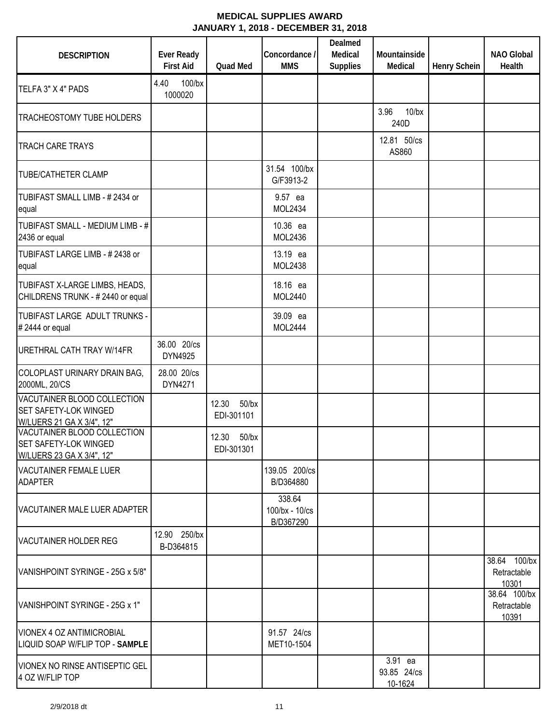| <b>DESCRIPTION</b>                                                                       | <b>Ever Ready</b><br><b>First Aid</b> | <b>Quad Med</b>           | Concordance /<br><b>MMS</b>           | Dealmed<br>Medical<br><b>Supplies</b> | Mountainside<br>Medical           | <b>Henry Schein</b> | <b>NAO Global</b><br>Health          |
|------------------------------------------------------------------------------------------|---------------------------------------|---------------------------|---------------------------------------|---------------------------------------|-----------------------------------|---------------------|--------------------------------------|
| TELFA 3" X 4" PADS                                                                       | 100/bx<br>4.40<br>1000020             |                           |                                       |                                       |                                   |                     |                                      |
| TRACHEOSTOMY TUBE HOLDERS                                                                |                                       |                           |                                       |                                       | 3.96<br>$10$ /bx<br>240D          |                     |                                      |
| <b>TRACH CARE TRAYS</b>                                                                  |                                       |                           |                                       |                                       | 12.81 50/cs<br>AS860              |                     |                                      |
| <b>TUBE/CATHETER CLAMP</b>                                                               |                                       |                           | 31.54 100/bx<br>G/F3913-2             |                                       |                                   |                     |                                      |
| TUBIFAST SMALL LIMB - #2434 or<br>equal                                                  |                                       |                           | 9.57 ea<br>MOL2434                    |                                       |                                   |                     |                                      |
| TUBIFAST SMALL - MEDIUM LIMB - #<br>2436 or equal                                        |                                       |                           | 10.36 ea<br>MOL2436                   |                                       |                                   |                     |                                      |
| TUBIFAST LARGE LIMB - #2438 or<br>equal                                                  |                                       |                           | 13.19 ea<br>MOL2438                   |                                       |                                   |                     |                                      |
| TUBIFAST X-LARGE LIMBS, HEADS,<br>CHILDRENS TRUNK - #2440 or equal                       |                                       |                           | 18.16 ea<br>MOL2440                   |                                       |                                   |                     |                                      |
| TUBIFAST LARGE ADULT TRUNKS -<br>#2444 or equal                                          |                                       |                           | 39.09 ea<br><b>MOL2444</b>            |                                       |                                   |                     |                                      |
| URETHRAL CATH TRAY W/14FR                                                                | 36.00 20/cs<br>DYN4925                |                           |                                       |                                       |                                   |                     |                                      |
| COLOPLAST URINARY DRAIN BAG,<br>2000ML, 20/CS                                            | 28.00 20/cs<br>DYN4271                |                           |                                       |                                       |                                   |                     |                                      |
| VACUTAINER BLOOD COLLECTION<br><b>SET SAFETY-LOK WINGED</b><br>W/LUERS 21 GA X 3/4", 12" |                                       | 12.30 50/bx<br>EDI-301101 |                                       |                                       |                                   |                     |                                      |
| VACUTAINER BLOOD COLLECTION<br><b>SET SAFETY-LOK WINGED</b><br>W/LUERS 23 GA X 3/4", 12" |                                       | 12.30 50/bx<br>EDI-301301 |                                       |                                       |                                   |                     |                                      |
| <b>VACUTAINER FEMALE LUER</b><br><b>ADAPTER</b>                                          |                                       |                           | 139.05 200/cs<br>B/D364880            |                                       |                                   |                     |                                      |
| VACUTAINER MALE LUER ADAPTER                                                             |                                       |                           | 338.64<br>100/bx - 10/cs<br>B/D367290 |                                       |                                   |                     |                                      |
| VACUTAINER HOLDER REG                                                                    | 12.90 250/bx<br>B-D364815             |                           |                                       |                                       |                                   |                     |                                      |
| VANISHPOINT SYRINGE - 25G x 5/8"                                                         |                                       |                           |                                       |                                       |                                   |                     | 38.64 100/bx<br>Retractable<br>10301 |
| VANISHPOINT SYRINGE - 25G x 1"                                                           |                                       |                           |                                       |                                       |                                   |                     | 38.64 100/bx<br>Retractable<br>10391 |
| VIONEX 4 OZ ANTIMICROBIAL<br>LIQUID SOAP W/FLIP TOP - SAMPLE                             |                                       |                           | 91.57 24/cs<br>MET10-1504             |                                       |                                   |                     |                                      |
| <b>VIONEX NO RINSE ANTISEPTIC GEL</b><br>4 OZ W/FLIP TOP                                 |                                       |                           |                                       |                                       | 3.91 ea<br>93.85 24/cs<br>10-1624 |                     |                                      |